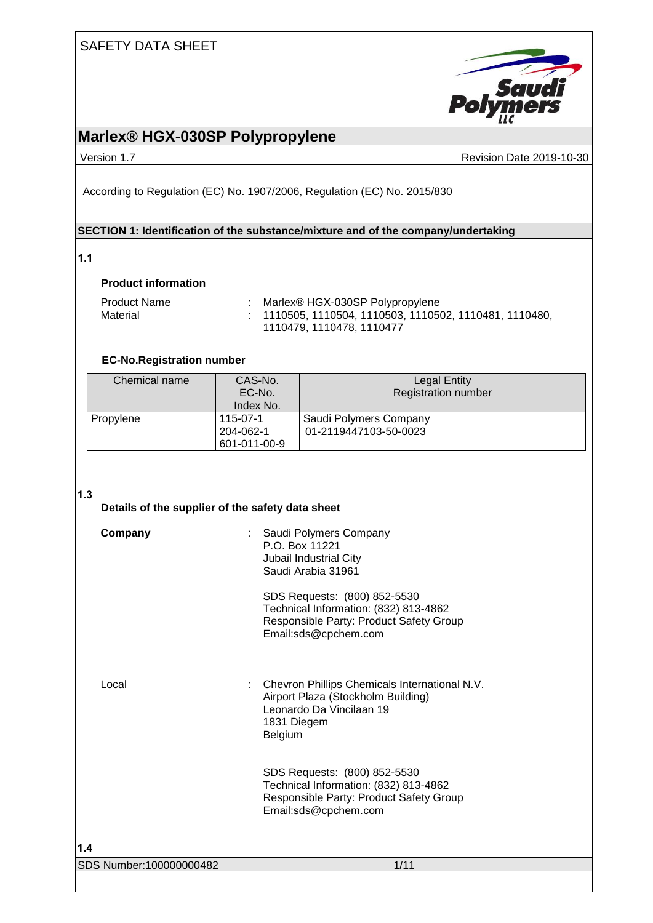

## **Marlex® HGX-030SP Polypropylene**

Version 1.7 **New Service 2019-10-30** Revision Date 2019-10-30

According to Regulation (EC) No. 1907/2006, Regulation (EC) No. 2015/830

## **SECTION 1: Identification of the substance/mixture and of the company/undertaking**

### **1.1**

#### **Product information**

| <b>Product Name</b> | Marlex® HGX-030SP Polypropylene                                   |
|---------------------|-------------------------------------------------------------------|
| Material            | $\pm$ 1110505, 1110504, 1110503, 1110502, 1110481, 1110480, $\pm$ |
|                     | 1110479, 1110478, 1110477                                         |

#### **EC-No.Registration number**

| Chemical name | CAS-No.<br>EC-No.<br>Index No.        | Legal Entity<br><b>Registration number</b>      |
|---------------|---------------------------------------|-------------------------------------------------|
| Propylene     | 115-07-1<br>204-062-1<br>601-011-00-9 | Saudi Polymers Company<br>01-2119447103-50-0023 |

### **1.3**

| J<br>Details of the supplier of the safety data sheet |                                                                                                                                           |
|-------------------------------------------------------|-------------------------------------------------------------------------------------------------------------------------------------------|
| Company                                               | Saudi Polymers Company<br>P.O. Box 11221<br>Jubail Industrial City<br>Saudi Arabia 31961                                                  |
|                                                       | SDS Requests: (800) 852-5530<br>Technical Information: (832) 813-4862<br>Responsible Party: Product Safety Group<br>Email:sds@cpchem.com  |
| Local                                                 | Chevron Phillips Chemicals International N.V.<br>Airport Plaza (Stockholm Building)<br>Leonardo Da Vincilaan 19<br>1831 Diegem<br>Belgium |
|                                                       | SDS Requests: (800) 852-5530<br>Technical Information: (832) 813-4862<br>Responsible Party: Product Safety Group<br>Email:sds@cpchem.com  |
| 1.4                                                   |                                                                                                                                           |
| SDS Number:100000000482                               | 1/11                                                                                                                                      |
|                                                       |                                                                                                                                           |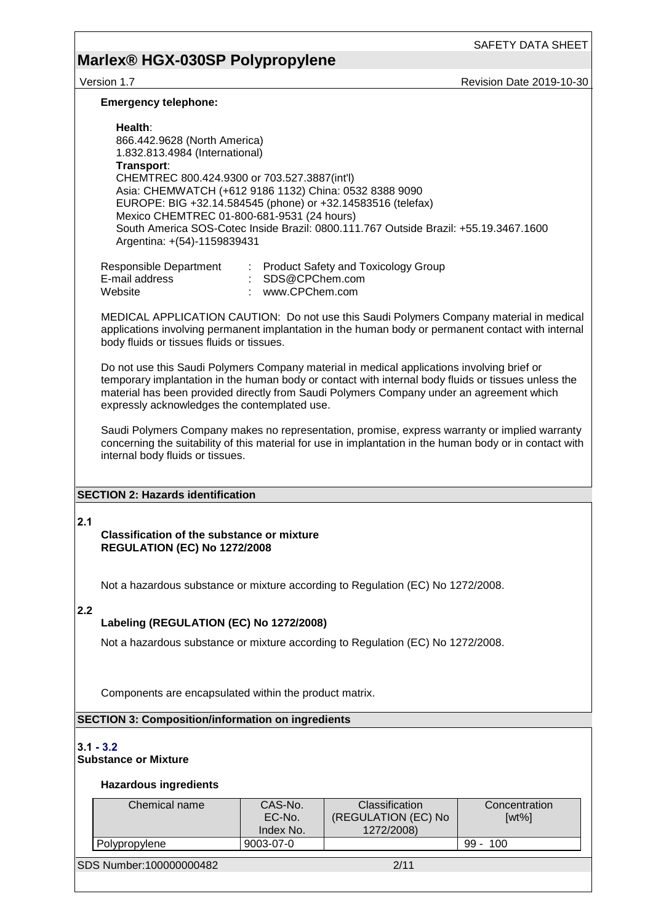## **Marlex® HGX-030SP Polypropylene**

Version 1.7 **Network 2019-10-30** Revision Date 2019-10-30

#### **Emergency telephone:**

**Health**: 866.442.9628 (North America) 1.832.813.4984 (International) **Transport**: CHEMTREC 800.424.9300 or 703.527.3887(int'l) Asia: CHEMWATCH (+612 9186 1132) China: 0532 8388 9090 EUROPE: BIG +32.14.584545 (phone) or +32.14583516 (telefax) Mexico CHEMTREC 01-800-681-9531 (24 hours) South America SOS-Cotec Inside Brazil: 0800.111.767 Outside Brazil: +55.19.3467.1600 Argentina: +(54)-1159839431

| Responsible Department | : Product Safety and Toxicology Group |
|------------------------|---------------------------------------|
| E-mail address         | : SDS@CPChem.com                      |
| Website                | www.CPChem.com                        |

MEDICAL APPLICATION CAUTION: Do not use this Saudi Polymers Company material in medical applications involving permanent implantation in the human body or permanent contact with internal body fluids or tissues fluids or tissues.

Do not use this Saudi Polymers Company material in medical applications involving brief or temporary implantation in the human body or contact with internal body fluids or tissues unless the material has been provided directly from Saudi Polymers Company under an agreement which expressly acknowledges the contemplated use.

Saudi Polymers Company makes no representation, promise, express warranty or implied warranty concerning the suitability of this material for use in implantation in the human body or in contact with internal body fluids or tissues.

#### **SECTION 2: Hazards identification**

**2.1** 

**Classification of the substance or mixture REGULATION (EC) No 1272/2008**

Not a hazardous substance or mixture according to Regulation (EC) No 1272/2008.

#### **2.2**

#### **Labeling (REGULATION (EC) No 1272/2008)**

Not a hazardous substance or mixture according to Regulation (EC) No 1272/2008.

Components are encapsulated within the product matrix.

#### **SECTION 3: Composition/information on ingredients**

#### **3.1 - 3.2**

#### **Substance or Mixture**

#### **Hazardous ingredients**

| Chemical name           | CAS-No.<br>EC-No.<br>Index No. | Classification<br>(REGULATION (EC) No<br>1272/2008) | Concentration<br>$[wt\%]$ |
|-------------------------|--------------------------------|-----------------------------------------------------|---------------------------|
| Polypropylene           | 9003-07-0                      |                                                     | $99 -$<br>100             |
| SDS Number:100000000482 |                                | 2/11                                                |                           |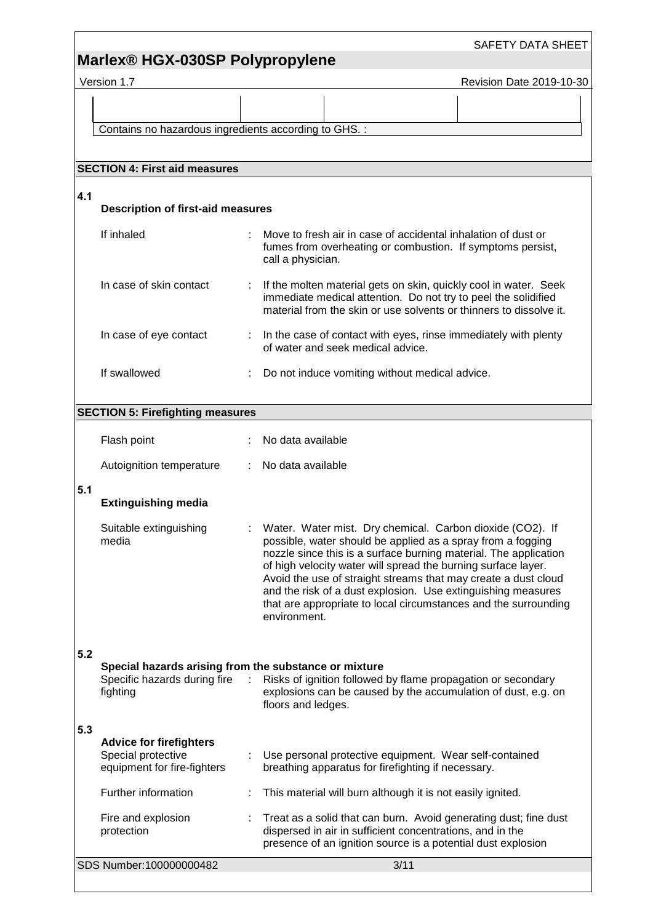## **Marlex® HGX-030SP Polypropylene**

Version 1.7 **Network 2019-10-30** Revision Date 2019-10-30

Contains no hazardous ingredients according to GHS. :

### **SECTION 4: First aid measures 4.1 Description of first-aid measures** If inhaled : Move to fresh air in case of accidental inhalation of dust or fumes from overheating or combustion. If symptoms persist, call a physician. In case of skin contact : If the molten material gets on skin, quickly cool in water. Seek immediate medical attention. Do not try to peel the solidified material from the skin or use solvents or thinners to dissolve it. In case of eye contact : In the case of contact with eyes, rinse immediately with plenty of water and seek medical advice. If swallowed : Do not induce vomiting without medical advice. **SECTION 5: Firefighting measures** Flash point : No data available Autoignition temperature : No data available **5.1 Extinguishing media** Suitable extinguishing media : Water. Water mist. Dry chemical. Carbon dioxide (CO2). If possible, water should be applied as a spray from a fogging nozzle since this is a surface burning material. The application of high velocity water will spread the burning surface layer. Avoid the use of straight streams that may create a dust cloud and the risk of a dust explosion. Use extinguishing measures that are appropriate to local circumstances and the surrounding environment. **5.2 Special hazards arising from the substance or mixture** Specific hazards during fire : Risks of ignition followed by flame propagation or secondary fighting explosions can be caused by the accumulation of dust, e.g. on floors and ledges. **5.3 Advice for firefighters** Special protective equipment for fire-fighters : Use personal protective equipment. Wear self-contained breathing apparatus for firefighting if necessary. Further information : This material will burn although it is not easily ignited. Fire and explosion protection : Treat as a solid that can burn. Avoid generating dust; fine dust dispersed in air in sufficient concentrations, and in the presence of an ignition source is a potential dust explosion

SDS Number:100000000482 3/11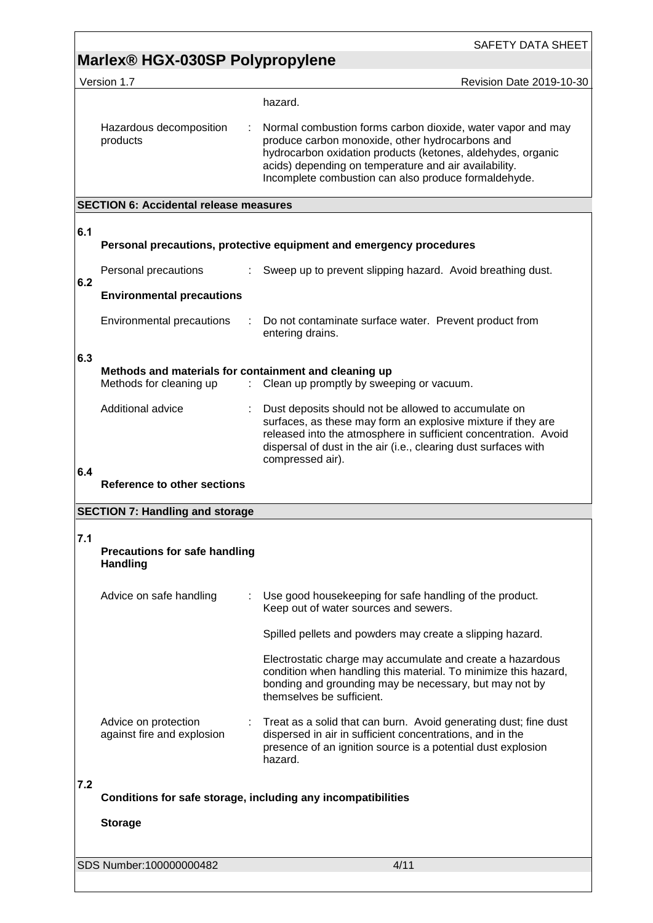# **Marlex® HGX-030SP Polypropylene**

|     | Version 1.7                                                                      | Revision Date 2019-10-30                                                                                                                                                                                                                                                                       |
|-----|----------------------------------------------------------------------------------|------------------------------------------------------------------------------------------------------------------------------------------------------------------------------------------------------------------------------------------------------------------------------------------------|
|     |                                                                                  | hazard.                                                                                                                                                                                                                                                                                        |
|     | Hazardous decomposition<br>products                                              | Normal combustion forms carbon dioxide, water vapor and may<br>produce carbon monoxide, other hydrocarbons and<br>hydrocarbon oxidation products (ketones, aldehydes, organic<br>acids) depending on temperature and air availability.<br>Incomplete combustion can also produce formaldehyde. |
|     | <b>SECTION 6: Accidental release measures</b>                                    |                                                                                                                                                                                                                                                                                                |
| 6.1 |                                                                                  |                                                                                                                                                                                                                                                                                                |
|     |                                                                                  | Personal precautions, protective equipment and emergency procedures                                                                                                                                                                                                                            |
| 6.2 | Personal precautions                                                             | Sweep up to prevent slipping hazard. Avoid breathing dust.                                                                                                                                                                                                                                     |
|     | <b>Environmental precautions</b>                                                 |                                                                                                                                                                                                                                                                                                |
|     | Environmental precautions                                                        | Do not contaminate surface water. Prevent product from<br>entering drains.                                                                                                                                                                                                                     |
| 6.3 | Methods and materials for containment and cleaning up<br>Methods for cleaning up | Clean up promptly by sweeping or vacuum.                                                                                                                                                                                                                                                       |
|     | Additional advice                                                                | Dust deposits should not be allowed to accumulate on<br>surfaces, as these may form an explosive mixture if they are<br>released into the atmosphere in sufficient concentration. Avoid<br>dispersal of dust in the air (i.e., clearing dust surfaces with<br>compressed air).                 |
| 6.4 |                                                                                  |                                                                                                                                                                                                                                                                                                |
|     | <b>Reference to other sections</b>                                               |                                                                                                                                                                                                                                                                                                |
|     | <b>SECTION 7: Handling and storage</b>                                           |                                                                                                                                                                                                                                                                                                |
| 7.1 | <b>Precautions for safe handling</b><br><b>Handling</b>                          |                                                                                                                                                                                                                                                                                                |
|     | Advice on safe handling                                                          | Use good housekeeping for safe handling of the product.<br>Keep out of water sources and sewers.                                                                                                                                                                                               |
|     |                                                                                  | Spilled pellets and powders may create a slipping hazard.                                                                                                                                                                                                                                      |
|     |                                                                                  | Electrostatic charge may accumulate and create a hazardous<br>condition when handling this material. To minimize this hazard,<br>bonding and grounding may be necessary, but may not by<br>themselves be sufficient.                                                                           |
|     | Advice on protection<br>against fire and explosion                               | Treat as a solid that can burn. Avoid generating dust; fine dust<br>dispersed in air in sufficient concentrations, and in the<br>presence of an ignition source is a potential dust explosion<br>hazard.                                                                                       |
| 7.2 |                                                                                  | Conditions for safe storage, including any incompatibilities                                                                                                                                                                                                                                   |
|     | <b>Storage</b>                                                                   |                                                                                                                                                                                                                                                                                                |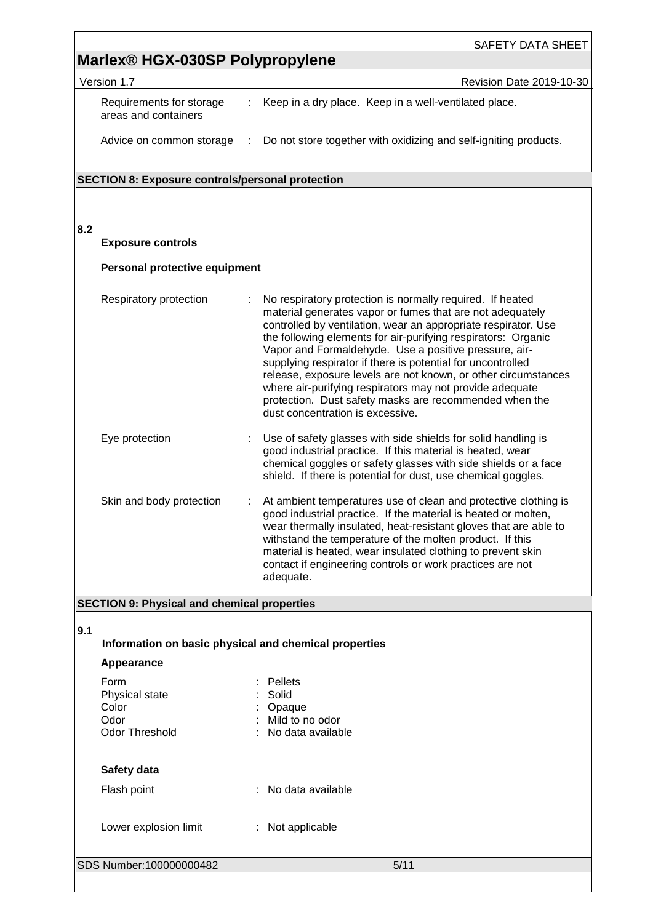|     |                                                           |                              | SAFETY DATA SHEET                                                                                                                                                                                                                                                                                                                                                                                                                                                                                                                                                                                             |
|-----|-----------------------------------------------------------|------------------------------|---------------------------------------------------------------------------------------------------------------------------------------------------------------------------------------------------------------------------------------------------------------------------------------------------------------------------------------------------------------------------------------------------------------------------------------------------------------------------------------------------------------------------------------------------------------------------------------------------------------|
|     | Marlex <sup>®</sup> HGX-030SP Polypropylene               |                              |                                                                                                                                                                                                                                                                                                                                                                                                                                                                                                                                                                                                               |
|     | Version 1.7                                               |                              | Revision Date 2019-10-30                                                                                                                                                                                                                                                                                                                                                                                                                                                                                                                                                                                      |
|     | Requirements for storage<br>areas and containers          |                              | Keep in a dry place. Keep in a well-ventilated place.                                                                                                                                                                                                                                                                                                                                                                                                                                                                                                                                                         |
|     | Advice on common storage                                  | $\mathcal{L}_{\mathrm{max}}$ | Do not store together with oxidizing and self-igniting products.                                                                                                                                                                                                                                                                                                                                                                                                                                                                                                                                              |
|     | <b>SECTION 8: Exposure controls/personal protection</b>   |                              |                                                                                                                                                                                                                                                                                                                                                                                                                                                                                                                                                                                                               |
|     |                                                           |                              |                                                                                                                                                                                                                                                                                                                                                                                                                                                                                                                                                                                                               |
|     |                                                           |                              |                                                                                                                                                                                                                                                                                                                                                                                                                                                                                                                                                                                                               |
| 8.2 | <b>Exposure controls</b>                                  |                              |                                                                                                                                                                                                                                                                                                                                                                                                                                                                                                                                                                                                               |
|     | Personal protective equipment                             |                              |                                                                                                                                                                                                                                                                                                                                                                                                                                                                                                                                                                                                               |
|     | Respiratory protection                                    |                              | No respiratory protection is normally required. If heated<br>material generates vapor or fumes that are not adequately<br>controlled by ventilation, wear an appropriate respirator. Use<br>the following elements for air-purifying respirators: Organic<br>Vapor and Formaldehyde. Use a positive pressure, air-<br>supplying respirator if there is potential for uncontrolled<br>release, exposure levels are not known, or other circumstances<br>where air-purifying respirators may not provide adequate<br>protection. Dust safety masks are recommended when the<br>dust concentration is excessive. |
|     | Eye protection                                            |                              | Use of safety glasses with side shields for solid handling is<br>good industrial practice. If this material is heated, wear<br>chemical goggles or safety glasses with side shields or a face<br>shield. If there is potential for dust, use chemical goggles.                                                                                                                                                                                                                                                                                                                                                |
|     | Skin and body protection                                  |                              | At ambient temperatures use of clean and protective clothing is<br>good industrial practice. If the material is heated or molten,<br>wear thermally insulated, heat-resistant gloves that are able to<br>withstand the temperature of the molten product. If this<br>material is heated, wear insulated clothing to prevent skin<br>contact if engineering controls or work practices are not<br>adequate.                                                                                                                                                                                                    |
|     | <b>SECTION 9: Physical and chemical properties</b>        |                              |                                                                                                                                                                                                                                                                                                                                                                                                                                                                                                                                                                                                               |
| 9.1 |                                                           |                              |                                                                                                                                                                                                                                                                                                                                                                                                                                                                                                                                                                                                               |
|     | Information on basic physical and chemical properties     |                              |                                                                                                                                                                                                                                                                                                                                                                                                                                                                                                                                                                                                               |
|     | Appearance                                                |                              |                                                                                                                                                                                                                                                                                                                                                                                                                                                                                                                                                                                                               |
|     | Form<br>Physical state<br>Color<br>Odor<br>Odor Threshold |                              | Pellets<br>Solid<br>Opaque<br>Mild to no odor<br>No data available                                                                                                                                                                                                                                                                                                                                                                                                                                                                                                                                            |
|     | Safety data                                               |                              |                                                                                                                                                                                                                                                                                                                                                                                                                                                                                                                                                                                                               |
|     | Flash point                                               |                              | No data available                                                                                                                                                                                                                                                                                                                                                                                                                                                                                                                                                                                             |
|     | Lower explosion limit                                     |                              | : Not applicable                                                                                                                                                                                                                                                                                                                                                                                                                                                                                                                                                                                              |
|     | SDS Number:100000000482                                   |                              | 5/11                                                                                                                                                                                                                                                                                                                                                                                                                                                                                                                                                                                                          |
|     |                                                           |                              |                                                                                                                                                                                                                                                                                                                                                                                                                                                                                                                                                                                                               |

 $\overline{1}$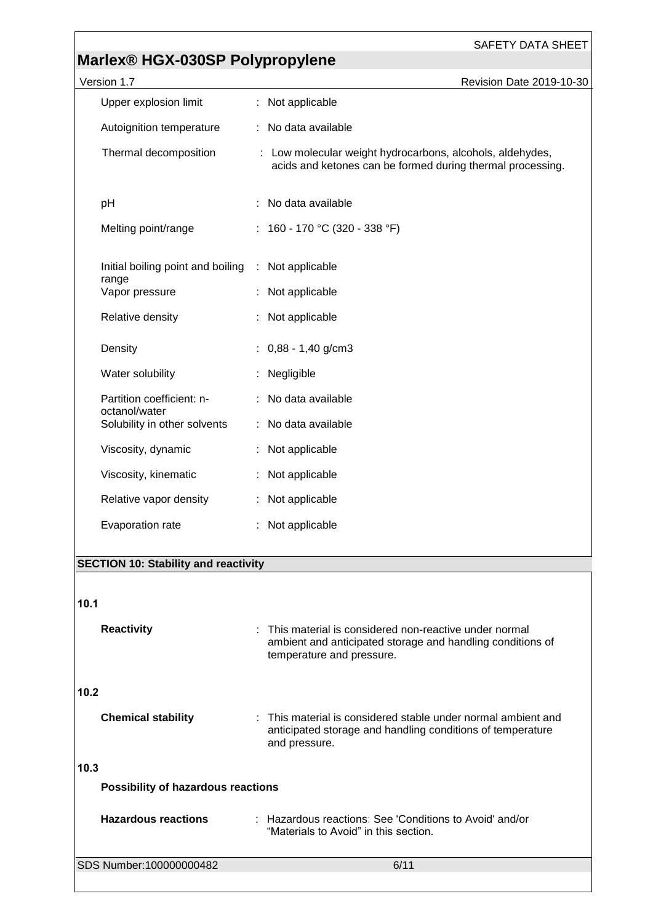# **Marlex® HGX-030SP Polypropylene**

| Version 1.7                                        | Revision Date 2019-10-30                                                                                                                           |
|----------------------------------------------------|----------------------------------------------------------------------------------------------------------------------------------------------------|
| Upper explosion limit                              | : Not applicable                                                                                                                                   |
| Autoignition temperature                           | : No data available                                                                                                                                |
| Thermal decomposition                              | : Low molecular weight hydrocarbons, alcohols, aldehydes,<br>acids and ketones can be formed during thermal processing.                            |
| pH                                                 | No data available                                                                                                                                  |
| Melting point/range                                | : 160 - 170 °C (320 - 338 °F)                                                                                                                      |
| Initial boiling point and boiling : Not applicable |                                                                                                                                                    |
| range<br>Vapor pressure                            | : Not applicable                                                                                                                                   |
| Relative density                                   | Not applicable                                                                                                                                     |
| Density                                            | $: 0.88 - 1.40$ g/cm3                                                                                                                              |
| Water solubility                                   | Negligible                                                                                                                                         |
| Partition coefficient: n-<br>octanol/water         | : No data available                                                                                                                                |
| Solubility in other solvents                       | : No data available                                                                                                                                |
| Viscosity, dynamic                                 | : Not applicable                                                                                                                                   |
| Viscosity, kinematic                               | Not applicable                                                                                                                                     |
| Relative vapor density                             | : Not applicable                                                                                                                                   |
| Evaporation rate                                   | Not applicable                                                                                                                                     |
| <b>SECTION 10: Stability and reactivity</b>        |                                                                                                                                                    |
|                                                    |                                                                                                                                                    |
| 10.1                                               |                                                                                                                                                    |
| <b>Reactivity</b>                                  | : This material is considered non-reactive under normal<br>ambient and anticipated storage and handling conditions of<br>temperature and pressure. |
| 10.2                                               |                                                                                                                                                    |
| <b>Chemical stability</b>                          | : This material is considered stable under normal ambient and<br>anticipated storage and handling conditions of temperature<br>and pressure.       |
| 10.3                                               |                                                                                                                                                    |
| Possibility of hazardous reactions                 |                                                                                                                                                    |
| <b>Hazardous reactions</b>                         | : Hazardous reactions: See 'Conditions to Avoid' and/or<br>"Materials to Avoid" in this section.                                                   |

SDS Number:100000000482 6/11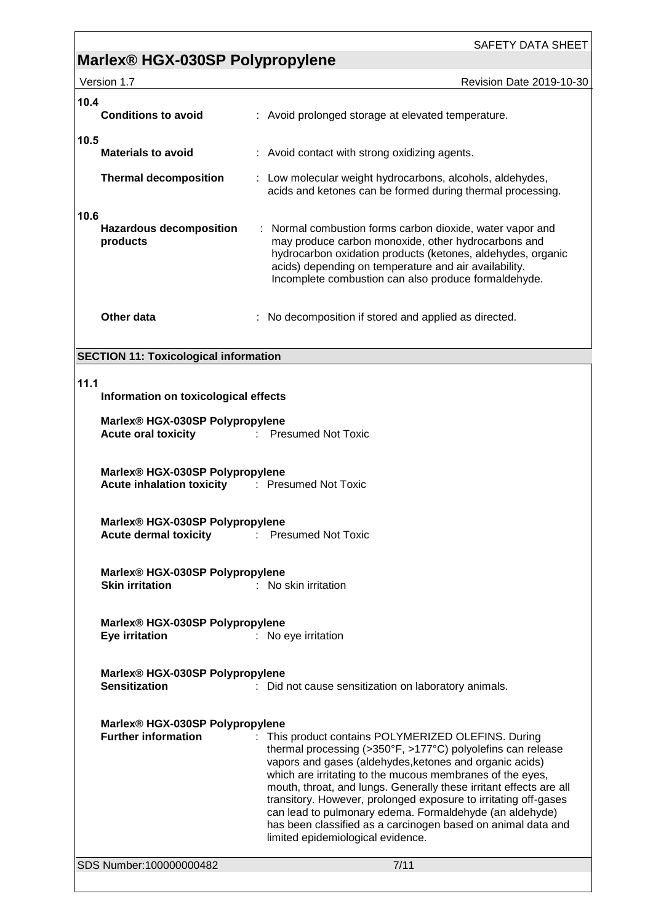# **Marlex® HGX-030SP Polypropylene**

| Version 1.7 |  |
|-------------|--|
|             |  |

|      | Version 1.7                                                                              | <b>Revision Date 2019-10-30</b>                                                                                                                                                                                                                                                                                                                                                                                                              |
|------|------------------------------------------------------------------------------------------|----------------------------------------------------------------------------------------------------------------------------------------------------------------------------------------------------------------------------------------------------------------------------------------------------------------------------------------------------------------------------------------------------------------------------------------------|
| 10.4 | <b>Conditions to avoid</b>                                                               | : Avoid prolonged storage at elevated temperature.                                                                                                                                                                                                                                                                                                                                                                                           |
| 10.5 | <b>Materials to avoid</b>                                                                | : Avoid contact with strong oxidizing agents.                                                                                                                                                                                                                                                                                                                                                                                                |
|      | <b>Thermal decomposition</b>                                                             | : Low molecular weight hydrocarbons, alcohols, aldehydes,<br>acids and ketones can be formed during thermal processing.                                                                                                                                                                                                                                                                                                                      |
| 10.6 | <b>Hazardous decomposition</b><br>products                                               | : Normal combustion forms carbon dioxide, water vapor and<br>may produce carbon monoxide, other hydrocarbons and<br>hydrocarbon oxidation products (ketones, aldehydes, organic<br>acids) depending on temperature and air availability.<br>Incomplete combustion can also produce formaldehyde.                                                                                                                                             |
|      | Other data                                                                               | : No decomposition if stored and applied as directed.                                                                                                                                                                                                                                                                                                                                                                                        |
|      | <b>SECTION 11: Toxicological information</b>                                             |                                                                                                                                                                                                                                                                                                                                                                                                                                              |
|      |                                                                                          |                                                                                                                                                                                                                                                                                                                                                                                                                                              |
| 11.1 | Information on toxicological effects                                                     |                                                                                                                                                                                                                                                                                                                                                                                                                                              |
|      | Marlex® HGX-030SP Polypropylene                                                          |                                                                                                                                                                                                                                                                                                                                                                                                                                              |
|      | <b>Acute oral toxicity</b>                                                               | <b>Presumed Not Toxic</b>                                                                                                                                                                                                                                                                                                                                                                                                                    |
|      | Marlex® HGX-030SP Polypropylene<br><b>Acute inhalation toxicity : Presumed Not Toxic</b> |                                                                                                                                                                                                                                                                                                                                                                                                                                              |
|      | Marlex® HGX-030SP Polypropylene<br><b>Acute dermal toxicity</b>                          | <b>Presumed Not Toxic</b><br>÷                                                                                                                                                                                                                                                                                                                                                                                                               |
|      | Marlex® HGX-030SP Polypropylene<br><b>Skin irritation</b>                                | : No skin irritation                                                                                                                                                                                                                                                                                                                                                                                                                         |
|      | Marlex® HGX-030SP Polypropylene<br><b>Eye irritation</b>                                 | : No eye irritation                                                                                                                                                                                                                                                                                                                                                                                                                          |
|      | Marlex® HGX-030SP Polypropylene<br><b>Sensitization</b>                                  | : Did not cause sensitization on laboratory animals.                                                                                                                                                                                                                                                                                                                                                                                         |
|      | Marlex® HGX-030SP Polypropylene<br><b>Further information</b>                            | This product contains POLYMERIZED OLEFINS. During<br>thermal processing (>350°F, >177°C) polyolefins can release<br>vapors and gases (aldehydes, ketones and organic acids)<br>which are irritating to the mucous membranes of the eyes,<br>mouth, throat, and lungs. Generally these irritant effects are all<br>transitory. However, prolonged exposure to irritating off-gases<br>can lead to pulmonary edema. Formaldehyde (an aldehyde) |

SDS Number:100000000482 7/11

limited epidemiological evidence.

has been classified as a carcinogen based on animal data and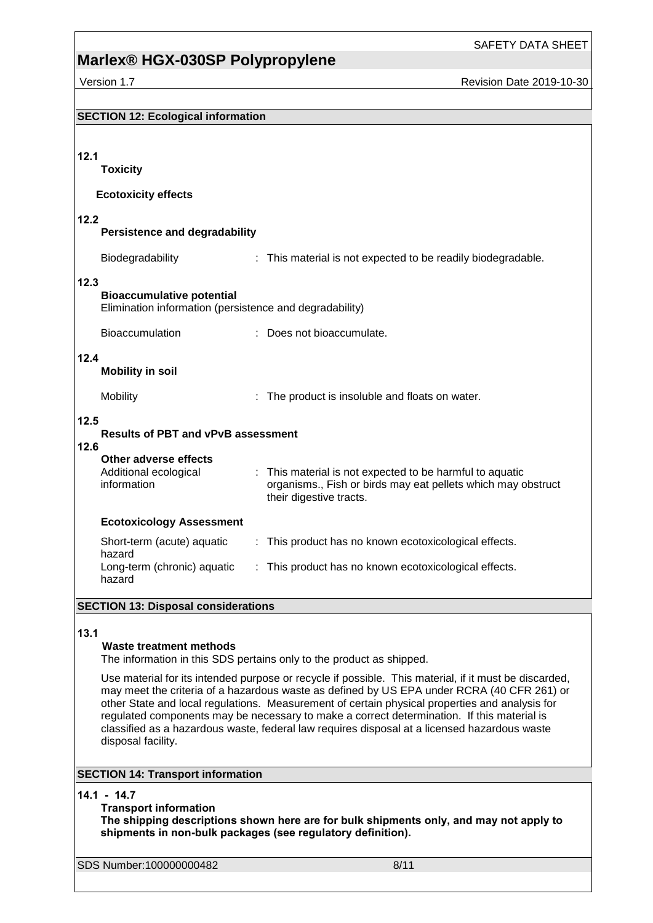# **Marlex® HGX-030SP Polypropylene**

Version 1.7 **New York 2019-10-30** Revision Date 2019-10-30

| <b>SECTION 12: Ecological information</b>                                                           |                                                                                                                                                                                                                                                                                                                                                                                                                                                                                                     |  |  |
|-----------------------------------------------------------------------------------------------------|-----------------------------------------------------------------------------------------------------------------------------------------------------------------------------------------------------------------------------------------------------------------------------------------------------------------------------------------------------------------------------------------------------------------------------------------------------------------------------------------------------|--|--|
|                                                                                                     |                                                                                                                                                                                                                                                                                                                                                                                                                                                                                                     |  |  |
| 12.1<br><b>Toxicity</b>                                                                             |                                                                                                                                                                                                                                                                                                                                                                                                                                                                                                     |  |  |
| <b>Ecotoxicity effects</b>                                                                          |                                                                                                                                                                                                                                                                                                                                                                                                                                                                                                     |  |  |
| 12.2<br><b>Persistence and degradability</b>                                                        |                                                                                                                                                                                                                                                                                                                                                                                                                                                                                                     |  |  |
| Biodegradability                                                                                    | : This material is not expected to be readily biodegradable.                                                                                                                                                                                                                                                                                                                                                                                                                                        |  |  |
| 12.3<br><b>Bioaccumulative potential</b><br>Elimination information (persistence and degradability) |                                                                                                                                                                                                                                                                                                                                                                                                                                                                                                     |  |  |
| <b>Bioaccumulation</b>                                                                              | : Does not bioaccumulate.                                                                                                                                                                                                                                                                                                                                                                                                                                                                           |  |  |
| 12.4<br><b>Mobility in soil</b>                                                                     |                                                                                                                                                                                                                                                                                                                                                                                                                                                                                                     |  |  |
| Mobility                                                                                            | The product is insoluble and floats on water.                                                                                                                                                                                                                                                                                                                                                                                                                                                       |  |  |
| 12.5<br><b>Results of PBT and vPvB assessment</b><br>12.6                                           |                                                                                                                                                                                                                                                                                                                                                                                                                                                                                                     |  |  |
| Other adverse effects<br>Additional ecological<br>information                                       | : This material is not expected to be harmful to aquatic<br>organisms., Fish or birds may eat pellets which may obstruct<br>their digestive tracts.                                                                                                                                                                                                                                                                                                                                                 |  |  |
| <b>Ecotoxicology Assessment</b>                                                                     |                                                                                                                                                                                                                                                                                                                                                                                                                                                                                                     |  |  |
| Short-term (acute) aquatic<br>hazard                                                                | : This product has no known ecotoxicological effects.                                                                                                                                                                                                                                                                                                                                                                                                                                               |  |  |
| Long-term (chronic) aquatic<br>hazard                                                               | : This product has no known ecotoxicological effects.                                                                                                                                                                                                                                                                                                                                                                                                                                               |  |  |
| <b>SECTION 13: Disposal considerations</b>                                                          |                                                                                                                                                                                                                                                                                                                                                                                                                                                                                                     |  |  |
| 13.1<br><b>Waste treatment methods</b>                                                              | The information in this SDS pertains only to the product as shipped.                                                                                                                                                                                                                                                                                                                                                                                                                                |  |  |
| disposal facility.                                                                                  | Use material for its intended purpose or recycle if possible. This material, if it must be discarded,<br>may meet the criteria of a hazardous waste as defined by US EPA under RCRA (40 CFR 261) or<br>other State and local regulations. Measurement of certain physical properties and analysis for<br>regulated components may be necessary to make a correct determination. If this material is<br>classified as a hazardous waste, federal law requires disposal at a licensed hazardous waste |  |  |
| <b>SECTION 14: Transport information</b>                                                            |                                                                                                                                                                                                                                                                                                                                                                                                                                                                                                     |  |  |
| $14.1 - 14.7$<br><b>Transport information</b>                                                       | The shipping descriptions shown here are for bulk shipments only, and may not apply to<br>shipments in non-bulk packages (see regulatory definition).                                                                                                                                                                                                                                                                                                                                               |  |  |
| SDS Number:100000000482                                                                             | 8/11                                                                                                                                                                                                                                                                                                                                                                                                                                                                                                |  |  |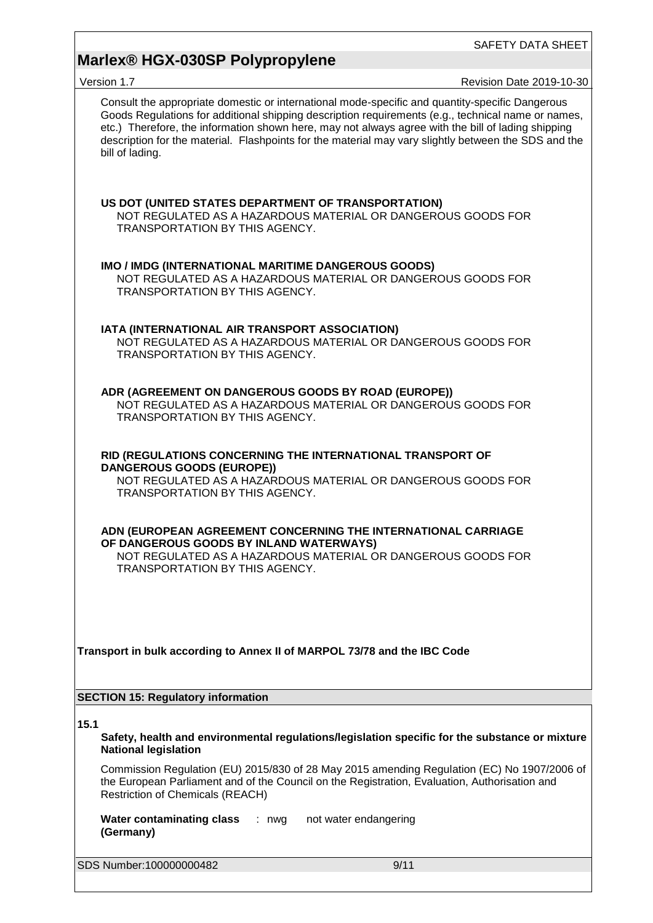## **Marlex® HGX-030SP Polypropylene**

| Version 1.7                                                                                                                                |         |                                                              | <b>Revision Date 2019-10-30</b>                                                                                                                                                                                                                                                                                                                                                                                     |
|--------------------------------------------------------------------------------------------------------------------------------------------|---------|--------------------------------------------------------------|---------------------------------------------------------------------------------------------------------------------------------------------------------------------------------------------------------------------------------------------------------------------------------------------------------------------------------------------------------------------------------------------------------------------|
| bill of lading.                                                                                                                            |         |                                                              | Consult the appropriate domestic or international mode-specific and quantity-specific Dangerous<br>Goods Regulations for additional shipping description requirements (e.g., technical name or names,<br>etc.) Therefore, the information shown here, may not always agree with the bill of lading shipping<br>description for the material. Flashpoints for the material may vary slightly between the SDS and the |
| US DOT (UNITED STATES DEPARTMENT OF TRANSPORTATION)<br>TRANSPORTATION BY THIS AGENCY.                                                      |         | NOT REGULATED AS A HAZARDOUS MATERIAL OR DANGEROUS GOODS FOR |                                                                                                                                                                                                                                                                                                                                                                                                                     |
| IMO / IMDG (INTERNATIONAL MARITIME DANGEROUS GOODS)<br>TRANSPORTATION BY THIS AGENCY.                                                      |         | NOT REGULATED AS A HAZARDOUS MATERIAL OR DANGEROUS GOODS FOR |                                                                                                                                                                                                                                                                                                                                                                                                                     |
| IATA (INTERNATIONAL AIR TRANSPORT ASSOCIATION)<br>TRANSPORTATION BY THIS AGENCY.                                                           |         | NOT REGULATED AS A HAZARDOUS MATERIAL OR DANGEROUS GOODS FOR |                                                                                                                                                                                                                                                                                                                                                                                                                     |
| ADR (AGREEMENT ON DANGEROUS GOODS BY ROAD (EUROPE))<br>TRANSPORTATION BY THIS AGENCY.                                                      |         | NOT REGULATED AS A HAZARDOUS MATERIAL OR DANGEROUS GOODS FOR |                                                                                                                                                                                                                                                                                                                                                                                                                     |
| RID (REGULATIONS CONCERNING THE INTERNATIONAL TRANSPORT OF<br><b>DANGEROUS GOODS (EUROPE))</b><br>TRANSPORTATION BY THIS AGENCY.           |         | NOT REGULATED AS A HAZARDOUS MATERIAL OR DANGEROUS GOODS FOR |                                                                                                                                                                                                                                                                                                                                                                                                                     |
| ADN (EUROPEAN AGREEMENT CONCERNING THE INTERNATIONAL CARRIAGE<br>OF DANGEROUS GOODS BY INLAND WATERWAYS)<br>TRANSPORTATION BY THIS AGENCY. |         | NOT REGULATED AS A HAZARDOUS MATERIAL OR DANGEROUS GOODS FOR |                                                                                                                                                                                                                                                                                                                                                                                                                     |
| Transport in bulk according to Annex II of MARPOL 73/78 and the IBC Code                                                                   |         |                                                              |                                                                                                                                                                                                                                                                                                                                                                                                                     |
| <b>SECTION 15: Regulatory information</b>                                                                                                  |         |                                                              |                                                                                                                                                                                                                                                                                                                                                                                                                     |
| 15.1<br><b>National legislation</b>                                                                                                        |         |                                                              | Safety, health and environmental regulations/legislation specific for the substance or mixture                                                                                                                                                                                                                                                                                                                      |
| <b>Restriction of Chemicals (REACH)</b>                                                                                                    |         |                                                              | Commission Regulation (EU) 2015/830 of 28 May 2015 amending Regulation (EC) No 1907/2006 of<br>the European Parliament and of the Council on the Registration, Evaluation, Authorisation and                                                                                                                                                                                                                        |
| <b>Water contaminating class</b><br>(Germany)                                                                                              | $: nwg$ | not water endangering                                        |                                                                                                                                                                                                                                                                                                                                                                                                                     |
| SDS Number:100000000482                                                                                                                    |         | 9/11                                                         |                                                                                                                                                                                                                                                                                                                                                                                                                     |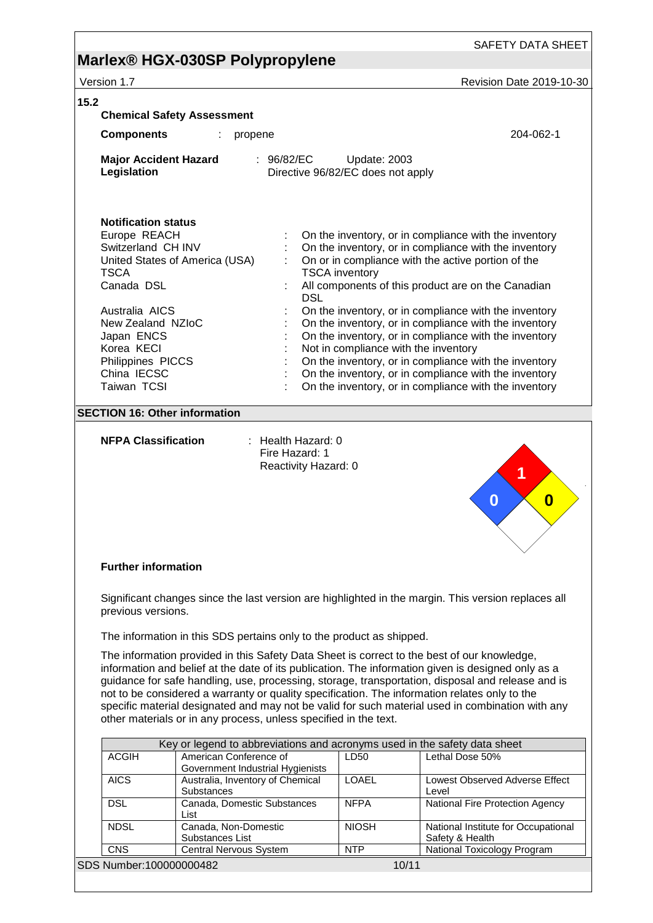# **Marlex® HGX-030SP Polypropylene**

| Version 1.7                                                                                                                                                                                                         |                                                                                                                                                                     |                                                                             | Revision Date 2019-10-30                                                                                                                                                                                                                                                                                                                                                                                                                                                                                                                                                         |  |  |
|---------------------------------------------------------------------------------------------------------------------------------------------------------------------------------------------------------------------|---------------------------------------------------------------------------------------------------------------------------------------------------------------------|-----------------------------------------------------------------------------|----------------------------------------------------------------------------------------------------------------------------------------------------------------------------------------------------------------------------------------------------------------------------------------------------------------------------------------------------------------------------------------------------------------------------------------------------------------------------------------------------------------------------------------------------------------------------------|--|--|
| 15.2                                                                                                                                                                                                                | <b>Chemical Safety Assessment</b>                                                                                                                                   |                                                                             |                                                                                                                                                                                                                                                                                                                                                                                                                                                                                                                                                                                  |  |  |
| <b>Components</b>                                                                                                                                                                                                   | propene<br>÷                                                                                                                                                        |                                                                             | 204-062-1                                                                                                                                                                                                                                                                                                                                                                                                                                                                                                                                                                        |  |  |
| <b>Major Accident Hazard</b><br>Legislation                                                                                                                                                                         | : 96/82/EC                                                                                                                                                          | Update: 2003<br>Directive 96/82/EC does not apply                           |                                                                                                                                                                                                                                                                                                                                                                                                                                                                                                                                                                                  |  |  |
| <b>Notification status</b><br>Europe REACH<br>Switzerland CH INV<br><b>TSCA</b><br>Canada DSL<br>Australia AICS<br>New Zealand NZIoC<br>Japan ENCS<br>Korea KECI<br>Philippines PICCS<br>China IECSC<br>Taiwan TCSI | United States of America (USA)                                                                                                                                      | <b>TSCA</b> inventory<br><b>DSL</b><br>Not in compliance with the inventory | On the inventory, or in compliance with the inventory<br>On the inventory, or in compliance with the inventory<br>On or in compliance with the active portion of the<br>All components of this product are on the Canadian<br>On the inventory, or in compliance with the inventory<br>On the inventory, or in compliance with the inventory<br>On the inventory, or in compliance with the inventory<br>On the inventory, or in compliance with the inventory<br>On the inventory, or in compliance with the inventory<br>On the inventory, or in compliance with the inventory |  |  |
| <b>SECTION 16: Other information</b>                                                                                                                                                                                |                                                                                                                                                                     |                                                                             |                                                                                                                                                                                                                                                                                                                                                                                                                                                                                                                                                                                  |  |  |
|                                                                                                                                                                                                                     | Reactivity Hazard: 0                                                                                                                                                |                                                                             | 1<br>$\bf{0}$<br>0                                                                                                                                                                                                                                                                                                                                                                                                                                                                                                                                                               |  |  |
| <b>Further information</b>                                                                                                                                                                                          |                                                                                                                                                                     |                                                                             |                                                                                                                                                                                                                                                                                                                                                                                                                                                                                                                                                                                  |  |  |
| previous versions.                                                                                                                                                                                                  | The information in this SDS pertains only to the product as shipped.<br>The information provided in this Safety Data Sheet is correct to the best of our knowledge, |                                                                             | Significant changes since the last version are highlighted in the margin. This version replaces all<br>information and belief at the date of its publication. The information given is designed only as a                                                                                                                                                                                                                                                                                                                                                                        |  |  |
|                                                                                                                                                                                                                     | not to be considered a warranty or quality specification. The information relates only to the<br>other materials or in any process, unless specified in the text.   |                                                                             | guidance for safe handling, use, processing, storage, transportation, disposal and release and is<br>specific material designated and may not be valid for such material used in combination with any                                                                                                                                                                                                                                                                                                                                                                            |  |  |
|                                                                                                                                                                                                                     | Key or legend to abbreviations and acronyms used in the safety data sheet                                                                                           |                                                                             |                                                                                                                                                                                                                                                                                                                                                                                                                                                                                                                                                                                  |  |  |
| <b>ACGIH</b>                                                                                                                                                                                                        | American Conference of<br>Government Industrial Hygienists                                                                                                          | LD50                                                                        | Lethal Dose 50%                                                                                                                                                                                                                                                                                                                                                                                                                                                                                                                                                                  |  |  |
| <b>AICS</b>                                                                                                                                                                                                         | Australia, Inventory of Chemical<br><b>Substances</b>                                                                                                               | <b>LOAEL</b>                                                                | Lowest Observed Adverse Effect<br>Level                                                                                                                                                                                                                                                                                                                                                                                                                                                                                                                                          |  |  |
| <b>DSL</b>                                                                                                                                                                                                          | Canada, Domestic Substances                                                                                                                                         | <b>NFPA</b>                                                                 | National Fire Protection Agency                                                                                                                                                                                                                                                                                                                                                                                                                                                                                                                                                  |  |  |
| <b>NDSL</b>                                                                                                                                                                                                         | List<br>Canada, Non-Domestic<br>Substances List                                                                                                                     | <b>NIOSH</b>                                                                | National Institute for Occupational<br>Safety & Health                                                                                                                                                                                                                                                                                                                                                                                                                                                                                                                           |  |  |

SDS Number:100000000482 10/11

CNS | Central Nervous System | NTP | National Toxicology Program

Central Nervous System